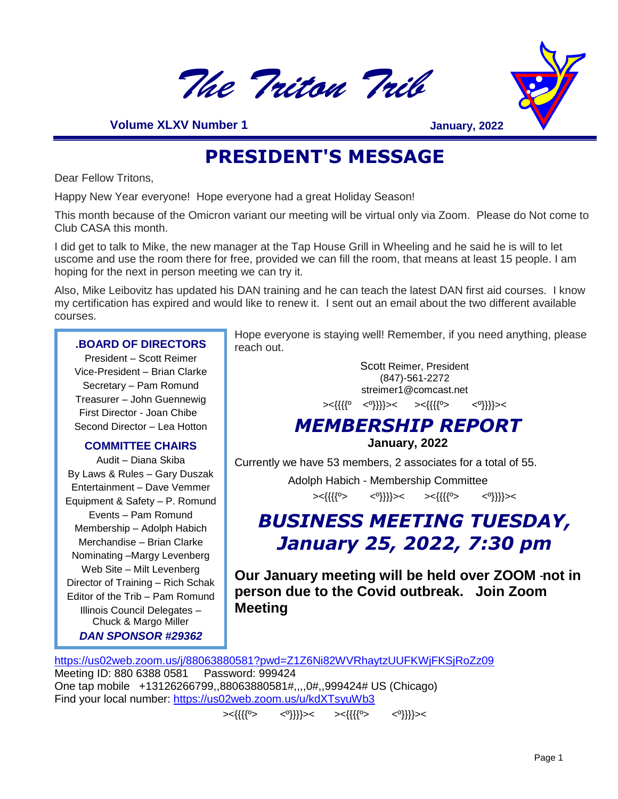



 **Volume XLXV Number 1**

**January, 2022**

# **PRESIDENT'S MESSAGE**

Dear Fellow Tritons,

Happy New Year everyone! Hope everyone had a great Holiday Season!

This month because of the Omicron variant our meeting will be virtual only via Zoom. Please do Not come to Club CASA this month.

I did get to talk to Mike, the new manager at the Tap House Grill in Wheeling and he said he is will to let uscome and use the room there for free, provided we can fill the room, that means at least 15 people. I am hoping for the next in person meeting we can try it.

Also, Mike Leibovitz has updated his DAN training and he can teach the latest DAN first aid courses. I know my certification has expired and would like to renew it. I sent out an email about the two different available courses.

### **.BOARD OF DIRECTORS**

President – Scott Reimer Vice-President – Brian Clarke Secretary – Pam Romund Treasurer – John Guennewig First Director - Joan Chibe Second Director – Lea Hotton

### **COMMITTEE CHAIRS**

Audit – Diana Skiba By Laws & Rules – Gary Duszak Entertainment – Dave Vemmer Equipment & Safety – P. Romund Events – Pam Romund Membership – Adolph Habich Merchandise – Brian Clarke Nominating –Margy Levenberg Web Site – Milt Levenberg Director of Training – Rich Schak Editor of the Trib – Pam Romund Illinois Council Delegates – Chuck & Margo Miller *DAN SPONSOR #29362*

Hope everyone is staying well! Remember, if you need anything, please reach out.

> Scott Reimer, President (847)-561-2272 streimer1@comcast.net ><{{{{º <º}}}}>< ><{{{{º> <º}}}}><

# *MEMBERSHIP REPORT*

**January, 2022**

Currently we have 53 members, 2 associates for a total of 55.

 Adolph Habich - Membership Committee ><{{{{º> <º}}}}>< ><{{{{º> <º}}}}><

# *BUSINESS MEETING TUESDAY, January 25, 2022, 7:30 pm*

**Our January meeting will be held over ZOOM not in person due to the Covid outbreak. Join Zoom Meeting**

<https://us02web.zoom.us/j/88063880581?pwd=Z1Z6Ni82WVRhaytzUUFKWjFKSjRoZz09> Meeting ID: 880 6388 0581 Password: 999424 One tap mobile +13126266799,,88063880581#,,,,0#,,999424# US (Chicago) Find your local number:<https://us02web.zoom.us/u/kdXTsyuWb3>

><{{{{º> <º}}}}>< ><{{{{º> <º}}}}><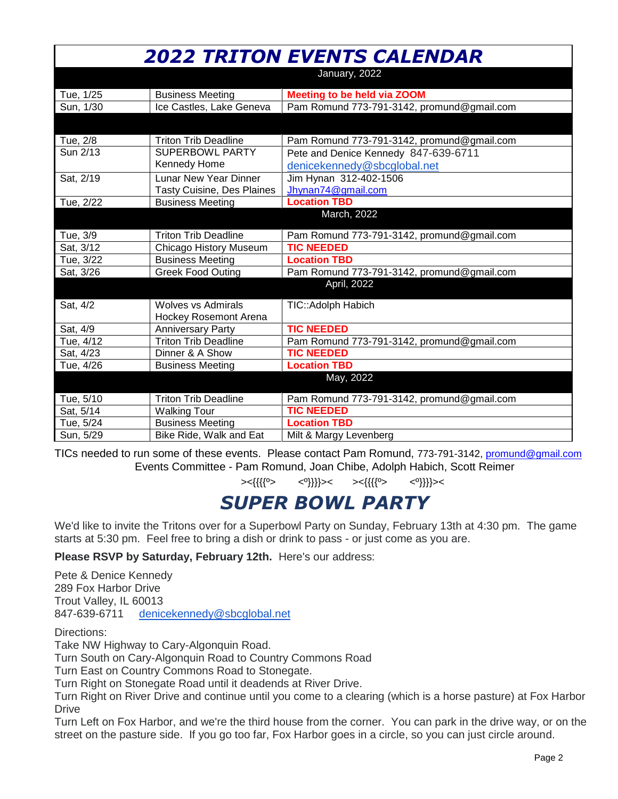|           |                                   | <b>2022 TRITON EVENTS CALENDAR</b>         |
|-----------|-----------------------------------|--------------------------------------------|
|           |                                   | January, 2022                              |
| Tue, 1/25 | <b>Business Meeting</b>           | <b>Meeting to be held via ZOOM</b>         |
| Sun, 1/30 | Ice Castles, Lake Geneva          | Pam Romund 773-791-3142, promund@gmail.com |
|           |                                   |                                            |
| Tue, 2/8  | <b>Triton Trib Deadline</b>       | Pam Romund 773-791-3142, promund@gmail.com |
| Sun 2/13  | <b>SUPERBOWL PARTY</b>            | Pete and Denice Kennedy 847-639-6711       |
|           | Kennedy Home                      | denicekennedy@sbcglobal.net                |
| Sat, 2/19 | <b>Lunar New Year Dinner</b>      | Jim Hynan 312-402-1506                     |
|           | <b>Tasty Cuisine, Des Plaines</b> | Jhynan74@gmail.com                         |
| Tue, 2/22 | <b>Business Meeting</b>           | <b>Location TBD</b>                        |
|           |                                   | March, 2022                                |
| Tue, 3/9  | <b>Triton Trib Deadline</b>       | Pam Romund 773-791-3142, promund@gmail.com |
| Sat, 3/12 | Chicago History Museum            | <b>TIC NEEDED</b>                          |
| Tue, 3/22 | <b>Business Meeting</b>           | <b>Location TBD</b>                        |
| Sat, 3/26 | <b>Greek Food Outing</b>          | Pam Romund 773-791-3142, promund@gmail.com |
|           |                                   | April, 2022                                |
| Sat, 4/2  | <b>Wolves vs Admirals</b>         | TIC:: Adolph Habich                        |
|           | <b>Hockey Rosemont Arena</b>      |                                            |
| Sat, 4/9  | <b>Anniversary Party</b>          | <b>TIC NEEDED</b>                          |
| Tue, 4/12 | <b>Triton Trib Deadline</b>       | Pam Romund 773-791-3142, promund@gmail.com |
| Sat, 4/23 | Dinner & A Show                   | <b>TIC NEEDED</b>                          |
| Tue, 4/26 | <b>Business Meeting</b>           | <b>Location TBD</b>                        |
|           |                                   | May, 2022                                  |
| Tue, 5/10 | <b>Triton Trib Deadline</b>       | Pam Romund 773-791-3142, promund@gmail.com |
| Sat, 5/14 | <b>Walking Tour</b>               | <b>TIC NEEDED</b>                          |
| Tue, 5/24 | <b>Business Meeting</b>           | <b>Location TBD</b>                        |
| Sun, 5/29 | Bike Ride, Walk and Eat           | Milt & Margy Levenberg                     |

TICs needed to run some of these events. Please contact Pam Romund, 773-791-3142, [promund@gmail.com](mailto:promund@gmail.com) Events Committee - Pam Romund, Joan Chibe, Adolph Habich, Scott Reimer

><{{{{º> <º}}}}>< ><{{{{º> <º}}}}><

# *SUPER BOWL PARTY*

We'd like to invite the Tritons over for a Superbowl Party on Sunday, February 13th at 4:30 pm. The game starts at 5:30 pm. Feel free to bring a dish or drink to pass - or just come as you are.

**Please RSVP by Saturday, February 12th.** Here's our address:

Pete & Denice Kennedy 289 Fox Harbor Drive Trout Valley, IL 60013 847-639-6711 [denicekennedy@sbcglobal.net](mailto:denicekennedy@sbcglobal.net)

Directions:

Take NW Highway to Cary-Algonquin Road.

Turn South on Cary-Algonquin Road to Country Commons Road

Turn East on Country Commons Road to Stonegate.

Turn Right on Stonegate Road until it deadends at River Drive.

Turn Right on River Drive and continue until you come to a clearing (which is a horse pasture) at Fox Harbor **Drive** 

Turn Left on Fox Harbor, and we're the third house from the corner. You can park in the drive way, or on the street on the pasture side. If you go too far, Fox Harbor goes in a circle, so you can just circle around.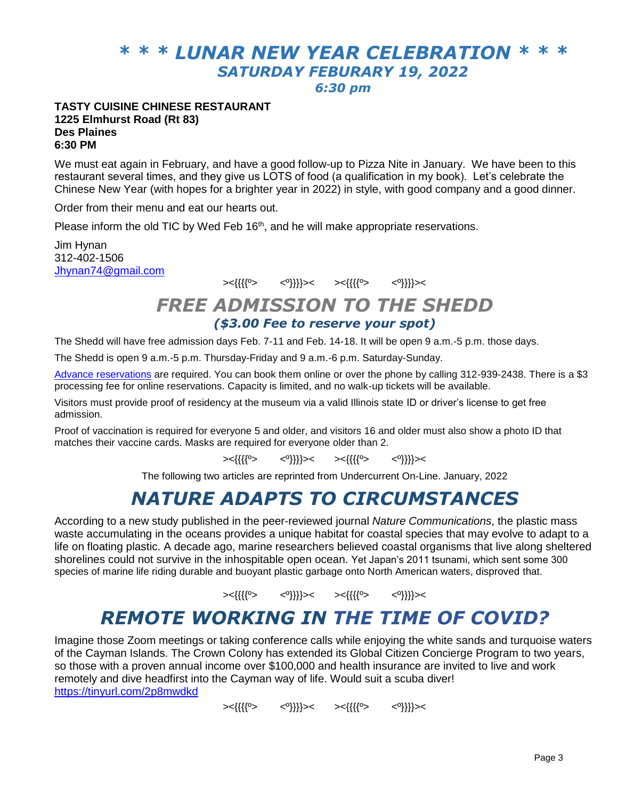# *\* \* \* LUNAR NEW YEAR CELEBRATION \* \* \* SATURDAY FEBURARY 19, 2022*

*6:30 pm*

#### **TASTY CUISINE CHINESE RESTAURANT 1225 Elmhurst Road (Rt 83) Des Plaines 6:30 PM**

We must eat again in February, and have a good follow-up to Pizza Nite in January. We have been to this restaurant several times, and they give us LOTS of food (a qualification in my book). Let's celebrate the Chinese New Year (with hopes for a brighter year in 2022) in style, with good company and a good dinner.

Order from their menu and eat our hearts out.

Please inform the old TIC by Wed Feb  $16<sup>th</sup>$ , and he will make appropriate reservations.

Jim Hynan 312-402-1506 [Jhynan74@gmail.com](mailto:Jhynan74@gmail.com)

><{{{{º> <º}}}}>< ><{{{{º> <º}}}}><

### *FREE ADMISSION TO THE SHEDD (\$3.00 Fee to reserve your spot)*

The Shedd will have free admission days Feb. 7-11 and Feb. 14-18. It will be open 9 a.m.-5 p.m. those days.

The Shedd is open 9 a.m.-5 p.m. Thursday-Friday and 9 a.m.-6 p.m. Saturday-Sunday.

Advance [reservations](https://www.sheddaquarium.org/plan-a-visit/get-tickets/discount-and-free-days/illinois-resident-free-days) are required. You can book them online or over the phone by calling 312-939-2438. There is a \$3 processing fee for online reservations. Capacity is limited, and no walk-up tickets will be available.

Visitors must provide proof of residency at the museum via a valid Illinois state ID or driver's license to get free admission.

Proof of vaccination is required for everyone 5 and older, and visitors 16 and older must also show a photo ID that matches their vaccine cards. Masks are required for everyone older than 2.

><{{{{º> <º}}}}>< ><{{{{º> <º}}}}><

The following two articles are reprinted from Undercurrent On-Line. January, 2022

### *NATURE ADAPTS TO CIRCUMSTANCES*

According to a new study published in the peer-reviewed journal *Nature Communications*, the plastic mass waste accumulating in the oceans provides a unique habitat for coastal species that may evolve to adapt to a life on floating plastic. A decade ago, marine researchers believed coastal organisms that live along sheltered shorelines could not survive in the inhospitable open ocean. Yet Japan's 2011 tsunami, which sent some 300 species of marine life riding durable and buoyant plastic garbage onto North American waters, disproved that.

><{{{{º> <º}}}}>< ><{{{{º> <º}}}}><

## *REMOTE WORKING IN THE TIME OF COVID?*

Imagine those Zoom meetings or taking conference calls while enjoying the white sands and turquoise waters of the Cayman Islands. The Crown Colony has extended its Global Citizen Concierge Program to two years, so those with a proven annual income over \$100,000 and health insurance are invited to live and work remotely and dive headfirst into the Cayman way of life. Would suit a scuba diver! <https://tinyurl.com/2p8mwdkd>

><{{{{º> <º}}}}>< ><{{{{º> <º}}}}><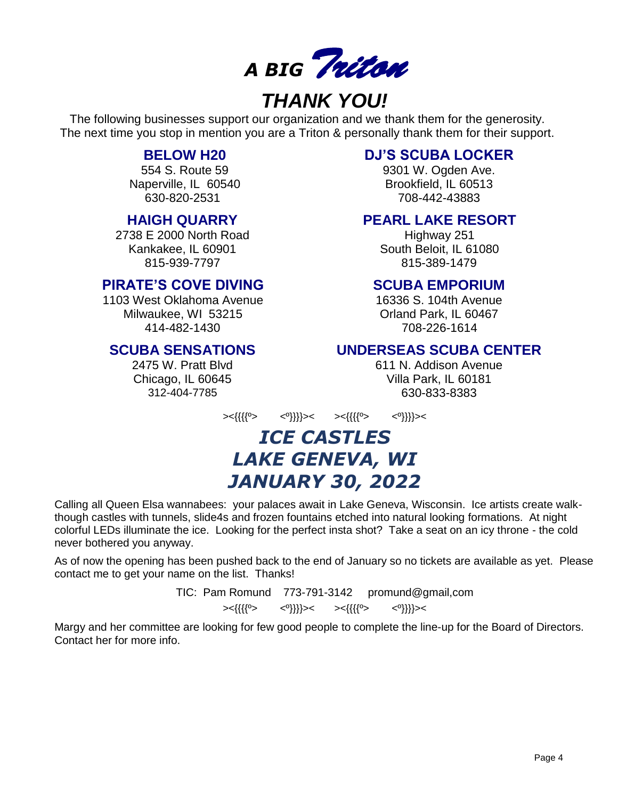

# *THANK YOU!*

The following businesses support our organization and we thank them for the generosity. The next time you stop in mention you are a Triton & personally thank them for their support.

### **BELOW H20**

554 S. Route 59 Naperville, IL 60540 630-820-2531

### **HAIGH QUARRY**

2738 E 2000 North Road Kankakee, IL 60901 815-939-7797

### **PIRATE'S COVE DIVING**

1103 West Oklahoma Avenue Milwaukee, WI 53215 414-482-1430

### **SCUBA SENSATIONS**

2475 W. Pratt Blvd Chicago, IL 60645 312-404-7785

### **DJ'S SCUBA LOCKER**

9301 W. Ogden Ave. Brookfield, IL 60513 708-442-43883

### **PEARL LAKE RESORT**

Highway 251 South Beloit, IL 61080 815-389-1479

### **SCUBA EMPORIUM**

16336 S. 104th Avenue Orland Park, IL 60467 708-226-1614

### **UNDERSEAS SCUBA CENTER**

611 N. Addison Avenue Villa Park, IL 60181 630-833-8383

><{{{{º> <º}}}}>< ><{{{{º> <º}}}}><

# *ICE CASTLES LAKE GENEVA, WI JANUARY 30, 2022*

Calling all Queen Elsa wannabees: your palaces await in Lake Geneva, Wisconsin. Ice artists create walkthough castles with tunnels, slide4s and frozen fountains etched into natural looking formations. At night colorful LEDs illuminate the ice. Looking for the perfect insta shot? Take a seat on an icy throne - the cold never bothered you anyway.

As of now the opening has been pushed back to the end of January so no tickets are available as yet. Please contact me to get your name on the list. Thanks!

TIC: Pam Romund 773-791-3142 promund@gmail,com

><{{{{º> <º}}}}>< ><{{{{º> <º}}}}><

Margy and her committee are looking for few good people to complete the line-up for the Board of Directors. Contact her for more info.